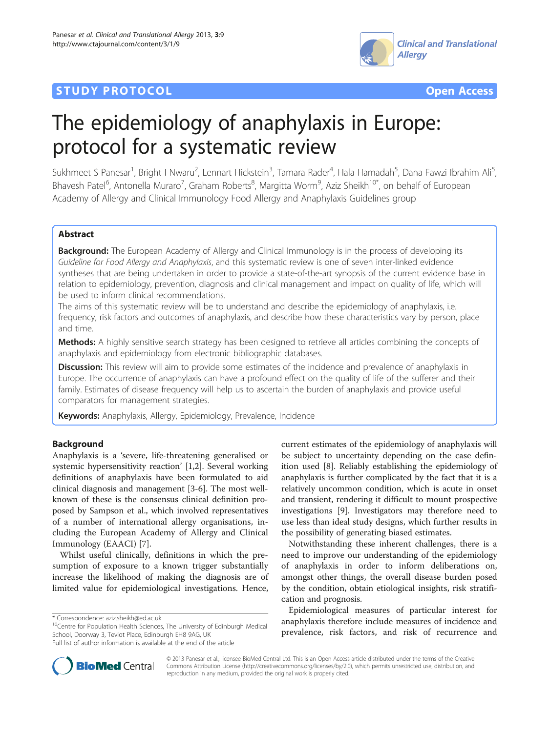# **STUDY PROTOCOL STUDY PROTOCOL**





# The epidemiology of anaphylaxis in Europe: protocol for a systematic review

Sukhmeet S Panesar<sup>1</sup>, Bright I Nwaru<sup>2</sup>, Lennart Hickstein<sup>3</sup>, Tamara Rader<sup>4</sup>, Hala Hamadah<sup>5</sup>, Dana Fawzi Ibrahim Ali<sup>5</sup> , Bhavesh Patel<sup>6</sup>, Antonella Muraro<sup>7</sup>, Graham Roberts<sup>8</sup>, Margitta Worm<sup>9</sup>, Aziz Sheikh<sup>10\*</sup>, on behalf of European Academy of Allergy and Clinical Immunology Food Allergy and Anaphylaxis Guidelines group

### Abstract

**Background:** The European Academy of Allergy and Clinical Immunology is in the process of developing its Guideline for Food Allergy and Anaphylaxis, and this systematic review is one of seven inter-linked evidence syntheses that are being undertaken in order to provide a state-of-the-art synopsis of the current evidence base in relation to epidemiology, prevention, diagnosis and clinical management and impact on quality of life, which will be used to inform clinical recommendations.

The aims of this systematic review will be to understand and describe the epidemiology of anaphylaxis, i.e. frequency, risk factors and outcomes of anaphylaxis, and describe how these characteristics vary by person, place and time.

Methods: A highly sensitive search strategy has been designed to retrieve all articles combining the concepts of anaphylaxis and epidemiology from electronic bibliographic databases.

Discussion: This review will aim to provide some estimates of the incidence and prevalence of anaphylaxis in Europe. The occurrence of anaphylaxis can have a profound effect on the quality of life of the sufferer and their family. Estimates of disease frequency will help us to ascertain the burden of anaphylaxis and provide useful comparators for management strategies.

Keywords: Anaphylaxis, Allergy, Epidemiology, Prevalence, Incidence

### Background

Anaphylaxis is a 'severe, life-threatening generalised or systemic hypersensitivity reaction' [[1,2\]](#page-3-0). Several working definitions of anaphylaxis have been formulated to aid clinical diagnosis and management [\[3](#page-3-0)-[6\]](#page-3-0). The most wellknown of these is the consensus clinical definition proposed by Sampson et al., which involved representatives of a number of international allergy organisations, including the European Academy of Allergy and Clinical Immunology (EAACI) [[7\]](#page-3-0).

Whilst useful clinically, definitions in which the presumption of exposure to a known trigger substantially increase the likelihood of making the diagnosis are of limited value for epidemiological investigations. Hence,

\* Correspondence: [aziz.sheikh@ed.ac.uk](mailto:aziz.sheikh@ed.ac.uk)<br><sup>10</sup>Centre for Population Health Sciences, The University of Edinburgh Medical School, Doorway 3, Teviot Place, Edinburgh EH8 9AG, UK

Full list of author information is available at the end of the article

current estimates of the epidemiology of anaphylaxis will be subject to uncertainty depending on the case definition used [\[8](#page-3-0)]. Reliably establishing the epidemiology of anaphylaxis is further complicated by the fact that it is a relatively uncommon condition, which is acute in onset and transient, rendering it difficult to mount prospective investigations [[9\]](#page-4-0). Investigators may therefore need to use less than ideal study designs, which further results in the possibility of generating biased estimates.

Notwithstanding these inherent challenges, there is a need to improve our understanding of the epidemiology of anaphylaxis in order to inform deliberations on, amongst other things, the overall disease burden posed by the condition, obtain etiological insights, risk stratification and prognosis.

Epidemiological measures of particular interest for anaphylaxis therefore include measures of incidence and prevalence, risk factors, and risk of recurrence and



© 2013 Panesar et al.; licensee BioMed Central Ltd. This is an Open Access article distributed under the terms of the Creative Commons Attribution License [\(http://creativecommons.org/licenses/by/2.0\)](http://creativecommons.org/licenses/by/2.0), which permits unrestricted use, distribution, and reproduction in any medium, provided the original work is properly cited.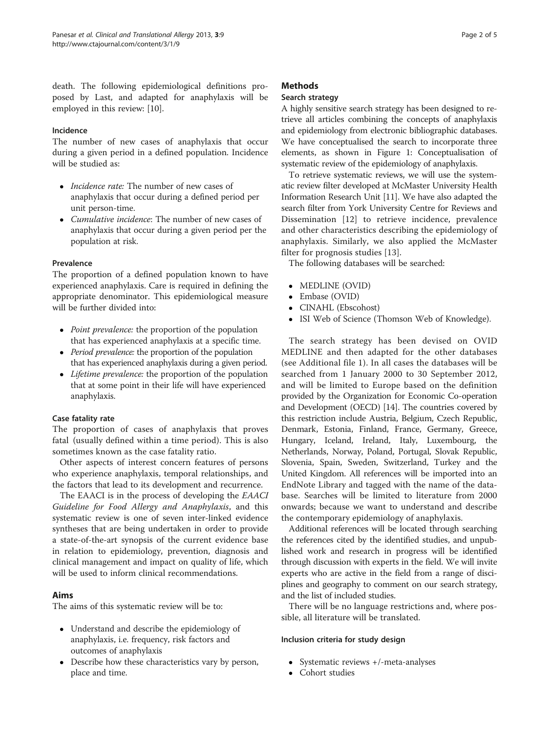death. The following epidemiological definitions proposed by Last, and adapted for anaphylaxis will be employed in this review: [[10](#page-4-0)].

#### Incidence

The number of new cases of anaphylaxis that occur during a given period in a defined population. Incidence will be studied as:

- *Incidence rate:* The number of new cases of anaphylaxis that occur during a defined period per unit person-time.
- *Cumulative incidence*: The number of new cases of anaphylaxis that occur during a given period per the population at risk.

#### Prevalence

The proportion of a defined population known to have experienced anaphylaxis. Care is required in defining the appropriate denominator. This epidemiological measure will be further divided into:

- *Point prevalence:* the proportion of the population that has experienced anaphylaxis at a specific time.
- *Period prevalence:* the proportion of the population that has experienced anaphylaxis during a given period.
- Lifetime prevalence: the proportion of the population that at some point in their life will have experienced anaphylaxis.

#### Case fatality rate

The proportion of cases of anaphylaxis that proves fatal (usually defined within a time period). This is also sometimes known as the case fatality ratio.

Other aspects of interest concern features of persons who experience anaphylaxis, temporal relationships, and the factors that lead to its development and recurrence.

The EAACI is in the process of developing the EAACI Guideline for Food Allergy and Anaphylaxis, and this systematic review is one of seven inter-linked evidence syntheses that are being undertaken in order to provide a state-of-the-art synopsis of the current evidence base in relation to epidemiology, prevention, diagnosis and clinical management and impact on quality of life, which will be used to inform clinical recommendations.

### Aims

The aims of this systematic review will be to:

- Understand and describe the epidemiology of anaphylaxis, i.e. frequency, risk factors and outcomes of anaphylaxis
- Describe how these characteristics vary by person, place and time.

# **Methods**

## Search strategy

A highly sensitive search strategy has been designed to retrieve all articles combining the concepts of anaphylaxis and epidemiology from electronic bibliographic databases. We have conceptualised the search to incorporate three elements, as shown in Figure [1:](#page-2-0) Conceptualisation of systematic review of the epidemiology of anaphylaxis.

To retrieve systematic reviews, we will use the systematic review filter developed at McMaster University Health Information Research Unit [\[11\]](#page-4-0). We have also adapted the search filter from York University Centre for Reviews and Dissemination [[12\]](#page-4-0) to retrieve incidence, prevalence and other characteristics describing the epidemiology of anaphylaxis. Similarly, we also applied the McMaster filter for prognosis studies [[13\]](#page-4-0).

The following databases will be searched:

- MEDLINE (OVID)
- Embase (OVID)
- CINAHL (Ebscohost)
- ISI Web of Science (Thomson Web of Knowledge).

The search strategy has been devised on OVID MEDLINE and then adapted for the other databases (see Additional file [1](#page-3-0)). In all cases the databases will be searched from 1 January 2000 to 30 September 2012, and will be limited to Europe based on the definition provided by the Organization for Economic Co-operation and Development (OECD) [\[14\]](#page-4-0). The countries covered by this restriction include Austria, Belgium, Czech Republic, Denmark, Estonia, Finland, France, Germany, Greece, Hungary, Iceland, Ireland, Italy, Luxembourg, the Netherlands, Norway, Poland, Portugal, Slovak Republic, Slovenia, Spain, Sweden, Switzerland, Turkey and the United Kingdom. All references will be imported into an EndNote Library and tagged with the name of the database. Searches will be limited to literature from 2000 onwards; because we want to understand and describe the contemporary epidemiology of anaphylaxis.

Additional references will be located through searching the references cited by the identified studies, and unpublished work and research in progress will be identified through discussion with experts in the field. We will invite experts who are active in the field from a range of disciplines and geography to comment on our search strategy, and the list of included studies.

There will be no language restrictions and, where possible, all literature will be translated.

#### Inclusion criteria for study design

- Systematic reviews +/-meta-analyses
- Cohort studies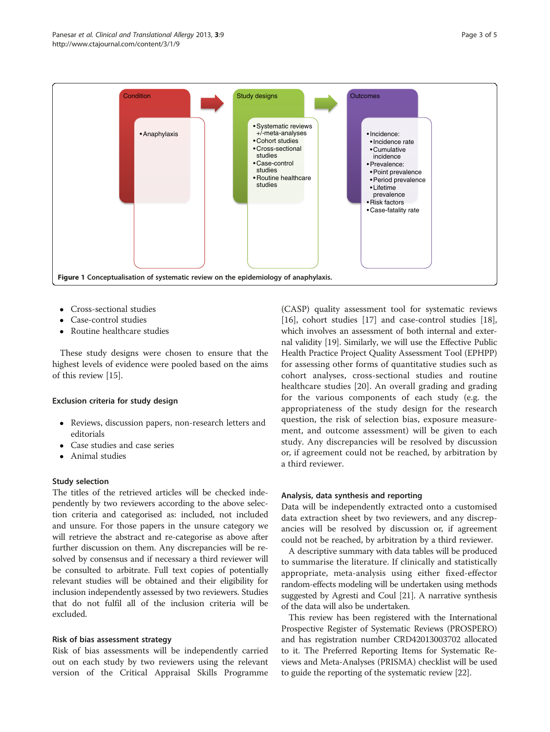<span id="page-2-0"></span>

- Cross-sectional studies
- Case-control studies
- Routine healthcare studies

These study designs were chosen to ensure that the highest levels of evidence were pooled based on the aims of this review [[15\]](#page-4-0).

#### Exclusion criteria for study design

- Reviews, discussion papers, non-research letters and editorials
- Case studies and case series
- Animal studies

#### Study selection

The titles of the retrieved articles will be checked independently by two reviewers according to the above selection criteria and categorised as: included, not included and unsure. For those papers in the unsure category we will retrieve the abstract and re-categorise as above after further discussion on them. Any discrepancies will be resolved by consensus and if necessary a third reviewer will be consulted to arbitrate. Full text copies of potentially relevant studies will be obtained and their eligibility for inclusion independently assessed by two reviewers. Studies that do not fulfil all of the inclusion criteria will be excluded.

#### Risk of bias assessment strategy

Risk of bias assessments will be independently carried out on each study by two reviewers using the relevant version of the Critical Appraisal Skills Programme

(CASP) quality assessment tool for systematic reviews [[16\]](#page-4-0), cohort studies [\[17](#page-4-0)] and case-control studies [\[18](#page-4-0)], which involves an assessment of both internal and external validity [[19](#page-4-0)]. Similarly, we will use the Effective Public Health Practice Project Quality Assessment Tool (EPHPP) for assessing other forms of quantitative studies such as cohort analyses, cross-sectional studies and routine healthcare studies [[20\]](#page-4-0). An overall grading and grading for the various components of each study (e.g. the appropriateness of the study design for the research question, the risk of selection bias, exposure measurement, and outcome assessment) will be given to each study. Any discrepancies will be resolved by discussion or, if agreement could not be reached, by arbitration by a third reviewer.

#### Analysis, data synthesis and reporting

Data will be independently extracted onto a customised data extraction sheet by two reviewers, and any discrepancies will be resolved by discussion or, if agreement could not be reached, by arbitration by a third reviewer.

A descriptive summary with data tables will be produced to summarise the literature. If clinically and statistically appropriate, meta-analysis using either fixed-effector random-effects modeling will be undertaken using methods suggested by Agresti and Coul [[21](#page-4-0)]. A narrative synthesis of the data will also be undertaken.

This review has been registered with the International Prospective Register of Systematic Reviews (PROSPERO) and has registration number CRD42013003702 allocated to it. The Preferred Reporting Items for Systematic Reviews and Meta-Analyses (PRISMA) checklist will be used to guide the reporting of the systematic review [[22](#page-4-0)].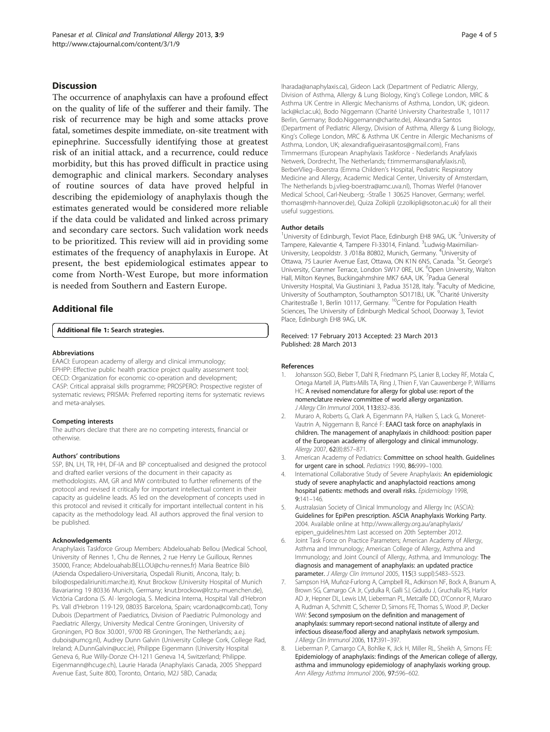#### <span id="page-3-0"></span>Discussion

The occurrence of anaphylaxis can have a profound effect on the quality of life of the sufferer and their family. The risk of recurrence may be high and some attacks prove fatal, sometimes despite immediate, on-site treatment with epinephrine. Successfully identifying those at greatest risk of an initial attack, and a recurrence, could reduce morbidity, but this has proved difficult in practice using demographic and clinical markers. Secondary analyses of routine sources of data have proved helpful in describing the epidemiology of anaphylaxis though the estimates generated would be considered more reliable if the data could be validated and linked across primary and secondary care sectors. Such validation work needs to be prioritized. This review will aid in providing some estimates of the frequency of anaphylaxis in Europe. At present, the best epidemiological estimates appear to come from North-West Europe, but more information is needed from Southern and Eastern Europe.

#### Additional file

[Additional file 1:](http://www.biomedcentral.com/content/supplementary/2045-7022-3-9-S1.docx) Search strategies.

#### Abbreviations

EAACI: European academy of allergy and clinical immunology; EPHPP: Effective public health practice project quality assessment tool; OECD: Organization for economic co-operation and development; CASP: Critical appraisal skills programme; PROSPERO: Prospective register of systematic reviews; PRISMA: Preferred reporting items for systematic reviews and meta-analyses.

#### Competing interests

The authors declare that there are no competing interests, financial or otherwise.

#### Authors' contributions

SSP, BN, LH, TR, HH, DF-IA and BP conceptualised and designed the protocol and drafted earlier versions of the document in their capacity as methodologists. AM, GR and MW contributed to further refinements of the protocol and revised it critically for important intellectual content in their capacity as guideline leads. AS led on the development of concepts used in this protocol and revised it critically for important intellectual content in his capacity as the methodology lead. All authors approved the final version to be published.

#### Acknowledgements

Anaphylaxis Taskforce Group Members: Abdelouahab Bellou (Medical School, University of Rennes 1, Chu de Rennes, 2 rue Henry Le Guilloux, Rennes 35000, France; Abdelouahab.BELLOU@chu-rennes.fr) Maria Beatrice Bilò (Azienda Ospedaliero-Universitaria, Ospedali Riuniti, Ancona, Italy; [b.](mailto:b.bilo@ospedaliriuniti.marche.it) [bilo@ospedaliriuniti.marche.it\)](mailto:b.bilo@ospedaliriuniti.marche.it), Knut Brockow (University Hospital of Munich Bavariaring 19 80336 Munich, Germany; knut.brockow@lrz.tu-muenchen.de), Victòria Cardona (S. Al · lergologia, S. Medicina Interna, Hospital Vall d'Hebron Ps. Vall d'Hebron 119-129, 08035 Barcelona, Spain; vcardona@comb.cat), Tony Dubois (Department of Paediatrics, Division of Paediatric Pulmonology and Paediatric Allergy, University Medical Centre Groningen, University of Groningen, PO Box 30.001, 9700 RB Groningen, The Netherlands; [a.e.j.](mailto:a.e.j.dubois@umcg.nl) [dubois@umcg.nl\)](mailto:a.e.j.dubois@umcg.nl), Audrey Dunn Galvin (University College Cork, College Rad, Ireland; A.DunnGalvin@ucc.ie), Philippe Eigenmann (University Hospital Geneva 6, Rue Willy-Donze CH-1211 Geneva 14, Switzerland; [Philippe.](mailto:Philippe.Eigenmann@hcuge.ch) [Eigenmann@hcuge.ch](mailto:Philippe.Eigenmann@hcuge.ch)), Laurie Harada (Anaphylaxis Canada, 2005 Sheppard Avenue East, Suite 800, Toronto, Ontario, M2J 5BD, Canada;

lharada@anaphylaxis.ca), Gideon Lack (Department of Pediatric Allergy, Division of Asthma, Allergy & Lung Biology, King's College London, MRC & Asthma UK Centre in Allergic Mechanisms of Asthma, London, UK; [gideon.](mailto:gideon.lack@kcl.ac.uk) [lack@kcl.ac.uk\)](mailto:gideon.lack@kcl.ac.uk), Bodo Niggemann (Charité University Charitestraße 1, 10117 Berlin, Germany; Bodo.Niggemann@charite.de), Alexandra Santos (Department of Pediatric Allergy, Division of Asthma, Allergy & Lung Biology, King's College London, MRC & Asthma UK Centre in Allergic Mechanisms of Asthma, London, UK; alexandrafigueirasantos@gmail.com), Frans Timmermans (European Anaphylaxis Taskforce - Nederlands Anafylaxis Netwerk, Dordrecht, The Netherlands; f.timmermans@anafylaxis.nl), BerberVlieg–Boerstra (Emma Children's Hospital, Pediatric Respiratory Medicine and Allergy, Academic Medical Center, University of Amsterdam, The Netherlands b.j.vlieg-boerstra@amc.uva.nl), Thomas Werfel (Hanover Medical School, Carl-Neuberg; -Straße 1 30625 Hanover, Germany; [werfel.](mailto:werfel.thomas@mh-hannover.de) [thomas@mh-hannover.de](mailto:werfel.thomas@mh-hannover.de)), Quiza Zolkipli (z.zolkipli@soton.ac.uk) for all their useful suggestions.

#### Author details

<sup>1</sup>University of Edinburgh, Teviot Place, Edinburgh EH8 9AG, UK. <sup>2</sup>University of Tampere, Kalevantie 4, Tampere FI-33014, Finland. <sup>3</sup>Ludwig-Maximilian-University, Leopoldstr. 3 /018a 80802, Munich, Germany. <sup>4</sup>University of Ottawa, 75 Laurier Avenue East, Ottawa, ON K1N 6N5, Canada. <sup>5</sup>St. George's University, Cranmer Terrace, London SW17 0RE, UK. <sup>6</sup>Open University, Walton Hall, Milton Keynes, Buckingahmshire MK7 6AA, UK. <sup>7</sup>Padua General University Hospital, Via Giustiniani 3, Padua 35128, Italy. <sup>8</sup>Faculty of Medicine, University of Southampton, Southampton SO171BJ, UK. <sup>9</sup>Charité University Charitestraße 1, Berlin 10117, Germany. 10Centre for Population Health Sciences, The University of Edinburgh Medical School, Doorway 3, Teviot Place, Edinburgh EH8 9AG, UK.

#### Received: 17 February 2013 Accepted: 23 March 2013 Published: 28 March 2013

#### References

- 1. Johansson SGO, Bieber T, Dahl R, Friedmann PS, Lanier B, Lockey RF, Motala C, Ortega Martell JA, Platts-Mills TA, Ring J, Thien F, Van Cauwenberge P, Williams HC: A revised nomenclature for allergy for global use: report of the nomenclature review committee of world allergy organization. J Allergy Clin Immunol 2004, 113:832–836.
- 2. Muraro A, Roberts G, Clark A, Eigenmann PA, Halken S, Lack G, Moneret-Vautrin A, Niggemann B, Rancé F: EAACI task force on anaphylaxis in children. The management of anaphylaxis in childhood: position paper of the European academy of allergology and clinical immunology. Allergy 2007, 62(8):857–871.
- 3. American Academy of Pediatrics: Committee on school health. Guidelines for urgent care in school. Pediatrics 1990, 86:999–1000.
- 4. International Collaborative Study of Severe Anaphylaxis: An epidemiologic study of severe anaphylactic and anaphylactoid reactions among hospital patients: methods and overall risks. Epidemiology 1998, 9:141–146.
- 5. Australasian Society of Clinical Immunology and Allergy Inc (ASCIA): Guidelines for EpiPen prescription. ASCIA Anaphylaxis Working Party. 2004. Available online at [http://www.allergy.org.au/anaphylaxis/](http://www.allergy.org.au/anaphylaxis/epipen_guidelines.htm) [epipen\\_guidelines.htm](http://www.allergy.org.au/anaphylaxis/epipen_guidelines.htm) Last accessed on 20th September 2012.
- Joint Task Force on Practice Parameters; American Academy of Allergy, Asthma and Immunology; American College of Allergy, Asthma and Immunology; and Joint Council of Allergy, Asthma, and Immunology: The diagnosis and management of anaphylaxis: an updated practice parameter. J Allergy Clin Immunol 2005, 115(3 suppl):S483–S523.
- 7. Sampson HA, Muñoz-Furlong A, Campbell RL, Adkinson NF, Bock A, Branum A, Brown SG, Camargo CA Jr, Cydulka R, Galli SJ, Gidudu J, Gruchalla RS, Harlor AD Jr, Hepner DL, Lewis LM, Lieberman PL, Metcalfe DD, O'Connor R, Muraro A, Rudman A, Schmitt C, Scherrer D, Simons FE, Thomas S, Wood JP, Decker WW: Second symposium on the definition and management of anaphylaxis: summary report-second national institute of allergy and infectious disease/food allergy and anaphylaxis network symposium. J Allergy Clin Immunol 2006, 117:391–397.
- 8. Lieberman P, Camargo CA, Bohlke K, Jick H, Miller RL, Sheikh A, Simons FE: Epidemiology of anaphylaxis: findings of the American college of allergy, asthma and immunology epidemiology of anaphylaxis working group. Ann Allergy Asthma Immunol 2006, 97:596–602.